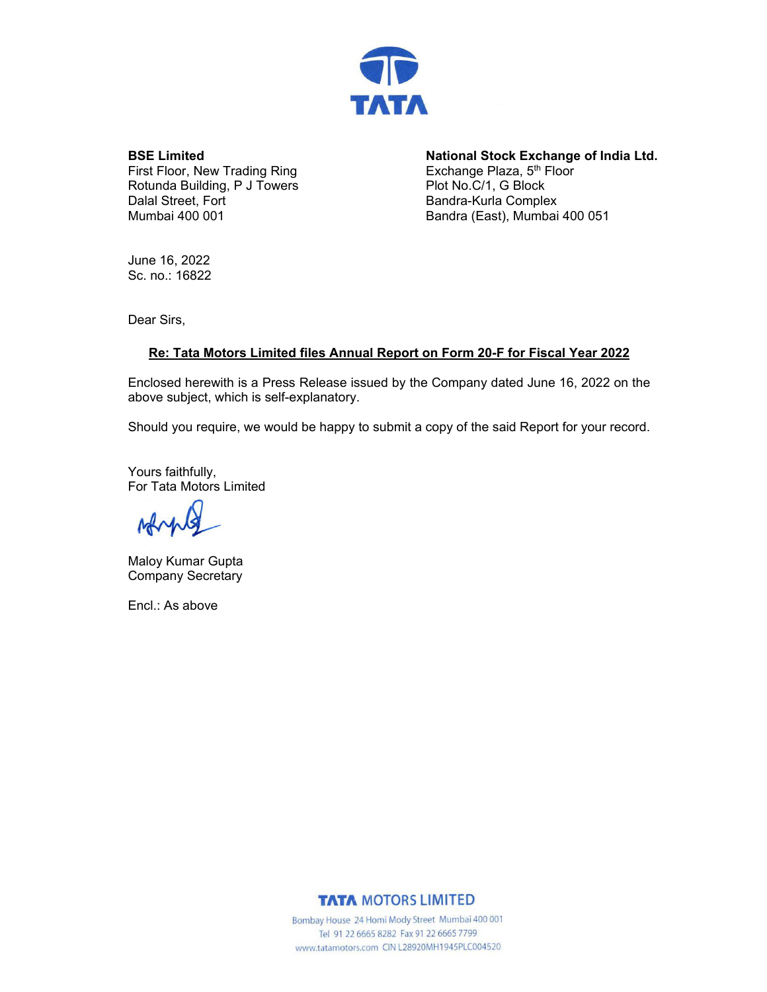

**BSE Limited** 

First Floor, New Trading Ring Rotunda Building, P J Towers Dalal Street, Fort Mumbai 400 001

**National Stock Exchange of India Ltd.**  Exchange Plaza, 5<sup>th</sup> Floor Plot No.C/1, G Block Bandra-Kurla Complex Bandra (East), Mumbai 400 051

June 16, 2022 Sc. no.: 16822

Dear Sirs,

### **Re: Tata Motors Limited files Annual Report on Form 20-F for Fiscal Year 2022**

Enclosed herewith is a Press Release issued by the Company dated June 16, 2022 on the above subject, which is self-explanatory.

Should you require, we would be happy to submit a copy of the said Report for your record.

Yours faithfully, For Tata Motors Limited

March Ιà

Maloy Kumar Gupta Company Secretary

Encl.: As above

**TATA MOTORS LIMITED** 

Bombay House 24 Homi Mody Street Mumbai 400 001 Tel 91 22 6665 8282 Fax 91 22 6665 7799 www.tatamotors.com CIN L28920MH1945PLC004520